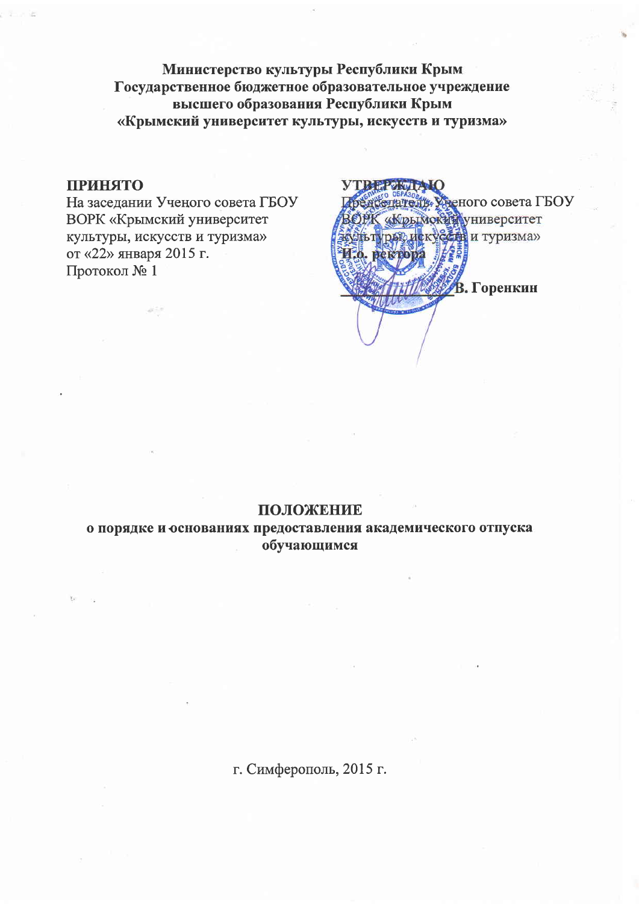Министерство культуры Республики Крым Государственное бюджетное образовательное учреждение высшего образования Республики Крым «Крымский университет культуры, искусств и туризма»

## **ПРИНЯТО**

На заседании Ученого совета ГБОУ **ВОРК «Крымский университет** культуры, искусств и туризма» от «22» января 2015 г. Протокол № 1

**YTREE** MY TE Иредселатель Уненого совета ГБОУ **ВОРК «Крымский университет** ЗЕУДЬТУРАР ИСКУССТВ И ТУРИЗМа» И.о. ректора В. Горенкин

## ПОЛОЖЕНИЕ

о порядке и основаниях предоставления академического отпуска обучающимся

г. Симферополь, 2015 г.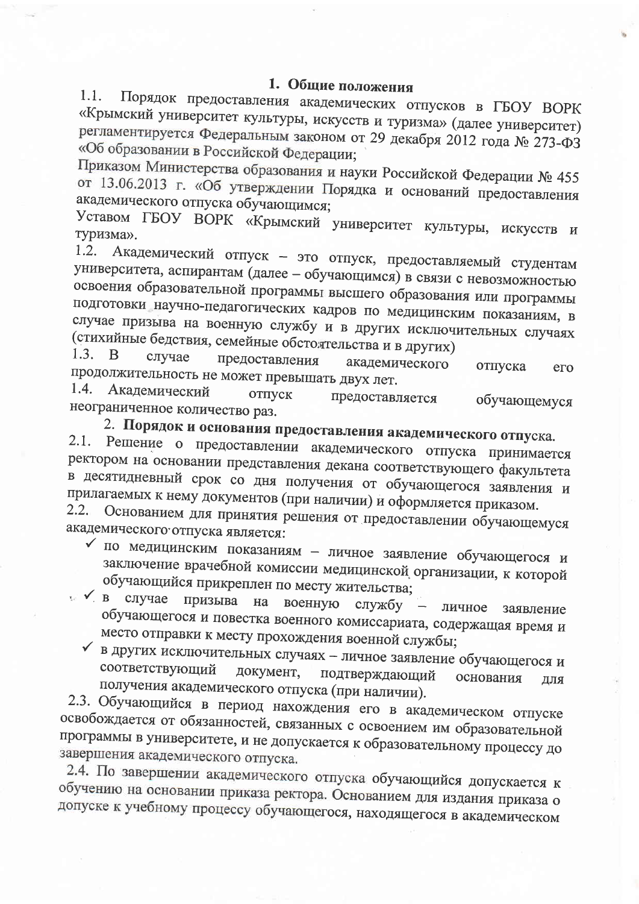# 1. Общие положения

Порядок предоставления академических отпусков в ГБОУ ВОРК  $1.1.$ «Крымский университет культуры, искусств и туризма» (далее университет) регламентируется Федеральным законом от 29 декабря 2012 года № 273-ФЗ «Об образовании в Российской Федерации;

Приказом Министерства образования и науки Российской Федерации № 455 от 13.06.2013 г. «Об утверждении Порядка и оснований предоставления академического отпуска обучающимся;

Уставом ГБОУ ВОРК «Крымский университет культуры, искусств и туризма».

Академический отпуск - это отпуск, предоставляемый студентам 1.2. университета, аспирантам (далее - обучающимся) в связи с невозможностью освоения образовательной программы высшего образования или программы подготовки научно-педагогических кадров по медицинским показаниям, в случае призыва на военную службу и в других исключительных случаях (стихийные бедствия, семейные обстоятельства и в других)

1.3. B случае предоставления академического отпуска продолжительность не может превышать двух лет. его 1.4.

Академический отпуск предоставляется обучающемуся неограниченное количество раз.

2. Порядок и основания предоставления академического отпуска.

2.1. Решение о предоставлении академического отпуска принимается ректором на основании представления декана соответствующего факультета в десятидневный срок со дня получения от обучающегося заявления и прилагаемых к нему документов (при наличии) и оформляется приказом.  $2.2.$ 

Основанием для принятия решения от предоставлении обучающемуся академического отпуска является:

- по медицинским показаниям личное заявление обучающегося и заключение врачебной комиссии медицинской организации, к которой обучающийся прикреплен по месту жительства;
- в случае призыва на военную службу - личное заявление обучающегося и повестка военного комиссариата, содержащая время и место отправки к месту прохождения военной службы;
	- в других исключительных случаях личное заявление обучающегося и соответствующий документ, подтверждающий основания ДЛЯ получения академического отпуска (при наличии).

2.3. Обучающийся в период нахождения его в академическом отпуске освобождается от обязанностей, связанных с освоением им образовательной программы в университете, и не допускается к образовательному процессу до завершения академического отпуска.

2.4. По завершении академического отпуска обучающийся допускается к обучению на основании приказа ректора. Основанием для издания приказа о допуске к учебному процессу обучающегося, находящегося в академическом